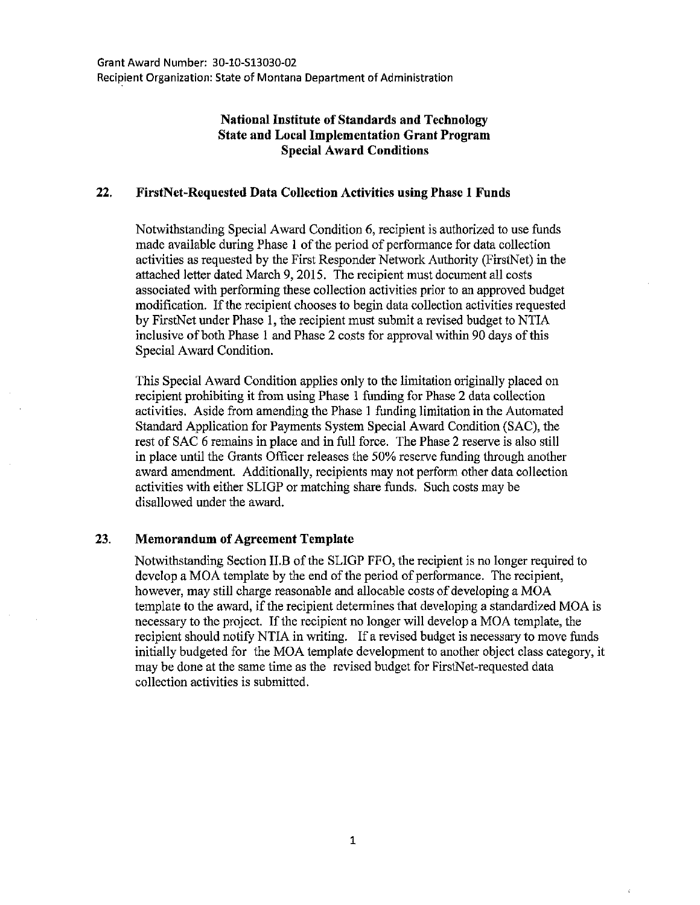## **National Institute of Standards and Technology State and Local Implementation Grant Program Special Award Conditions**

## **22. FirstNet-Requested Data Collection Activities using Phase 1 Funds**

Notwithstanding Special Award Condition 6, recipient is authorized to use funds made available during Phase I of the period of performance for data collection activities as requested by the First Responder Network Authority (FirstNet) in the attached letter dated March 9, 2015. The recipient must document all costs associated with performing these collection activities prior to an approved budget modification. If the recipient chooses to begin data collection activities requested by FirstNet under Phase I, the recipient must submit a revised budget to NTIA inclusive of both Phase I and Phase 2 costs for approval within 90 days of this Special Award Condition.

This Special Award Condition applies only to the limitation originally placed on recipient prohibiting it from using Phase I funding for Phase 2 data collection activities. Aside from amending the Phase I funding limitation in the Automated Standard Application for Payments System Special Award Condition (SAC), the rest of SAC 6 remains in place and in full force. The Phase 2 reserve is also still in place until the Grants Officer releases the 50% reserve funding through another award amendment. Additionally, recipients may not perform other data collection activities with either SLIGP or matching share funds. Such costs may be disallowed under the award.

## 23. **Memorandum of Agreement Template**

Notwithstanding Section II.B of the SLIGP FFO, the recipient is no longer required to develop a MOA template by the end of the period of performance. The recipient, however, may still charge reasonable and allocable costs of developing a MOA template to the award, if the recipient determines that developing a standardized MOA is necessary to the project. If the recipient no longer will develop a MOA template, the recipient should notify NTIA in writing. If a revised budget is necessary to move funds initially budgeted for the MOA template development to another object class category, it may be done at the same time as the revised budget for FirstNet-requested data collection activities is submitted.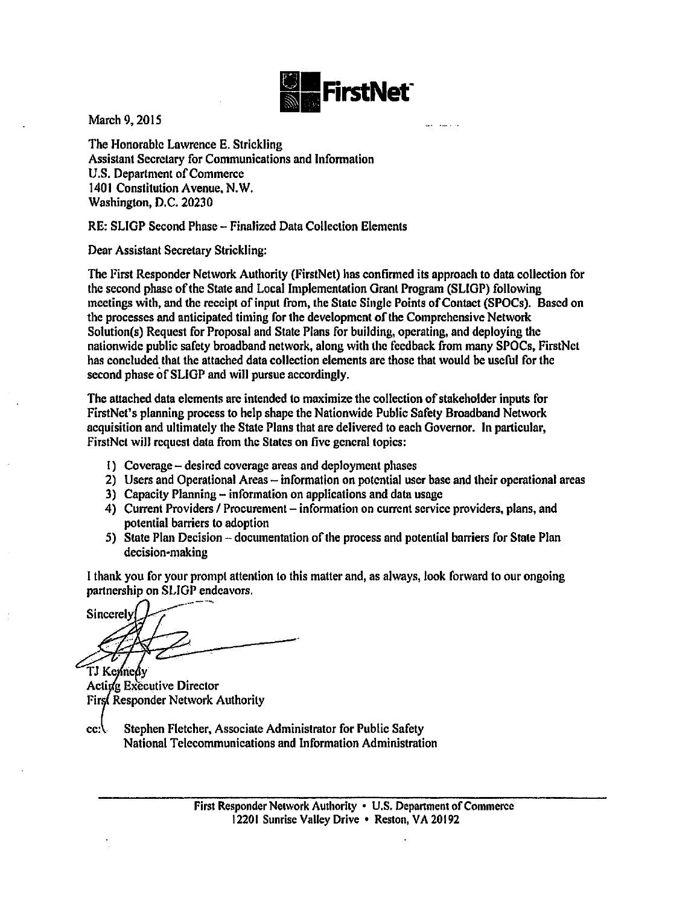

March 9, 2015

The Honorable Lawrence E. Strickling Assistant Secretary for Communications and Information U.S. Department of Commerce 1401 Constitution Avenue, N.W. Washington, D.C. 20230

RE: SLIGP Second Phase- Finalized Data Collection Elements

Dear Assistant Secretary Strickling:

The First Responder Network Authority (FirstNet) has confirmed its approach to data collection for the second phase of the State and Local Implementation Grant Program (SLIGP) following meetings with, and the receipt of input from, the State Single Points of Contact (SPOCs). Based on the processes and anticipated timing for the development of the Comprehensive Network Solution(s) Request for Proposal and State Plans for building, operating, and deploying the nationwide public safety broadband network, along with the feedback from many SPOCs, FirstNet has concluded that the attached data collection elements are those that would be useful for the second phase of SLIGP and will pursue accordingly.

The attached data elements arc intended to maximize the collection of stakeholder inputs for FirstNet's planning process to help shape the Nationwide Public Safety Broadband Network acquisition and ultimately the State Plans that are delivered to each Governor. In particular, FirstNet will request data from the States on five general topics:

- I) Coverage- desired coverage areas and deployment phases
- 2) Users and Operational Areas- information on potential user base and their operational areas
- 3) Capacity Planning- information on applications and data usage
- 4) Current Providers / Procurement information on current service providers, plans, and potential barriers to adoption
- 5) State Plan Decision- documentation of the process and potential barriers for State Plan decision-making

I thank you for your prompt attention to this matter and, as always, look forward to our ongoing partnership on SLIGP endeavors.

Sincerely TJ Kennedv

Acting Executive Director First Responder Network Authority

 $cc\Lambda$ Stephen Fletcher, Associate Administrator for Public Safety National Telecommunications and Information Administration